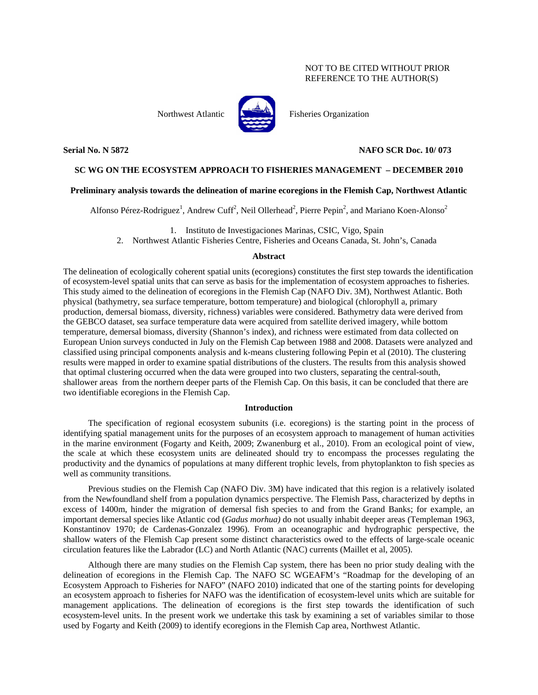## NOT TO BE CITED WITHOUT PRIOR REFERENCE TO THE AUTHOR(S)



Northwest Atlantic **No. 1989** Fisheries Organization

## **Serial No. N 5872 NAFO SCR Doc. 10/ 073**

## **SC WG ON THE ECOSYSTEM APPROACH TO FISHERIES MANAGEMENT – DECEMBER 2010**

## **Preliminary analysis towards the delineation of marine ecoregions in the Flemish Cap, Northwest Atlantic**

Alfonso Pérez-Rodriguez<sup>1</sup>, Andrew Cuff<sup>2</sup>, Neil Ollerhead<sup>2</sup>, Pierre Pepin<sup>2</sup>, and Mariano Koen-Alonso<sup>2</sup>

1. Instituto de Investigaciones Marinas, CSIC, Vigo, Spain

2. Northwest Atlantic Fisheries Centre, Fisheries and Oceans Canada, St. John's, Canada

#### **Abstract**

The delineation of ecologically coherent spatial units (ecoregions) constitutes the first step towards the identification of ecosystem-level spatial units that can serve as basis for the implementation of ecosystem approaches to fisheries. This study aimed to the delineation of ecoregions in the Flemish Cap (NAFO Div. 3M), Northwest Atlantic. Both physical (bathymetry, sea surface temperature, bottom temperature) and biological (chlorophyll a, primary production, demersal biomass, diversity, richness) variables were considered. Bathymetry data were derived from the GEBCO dataset, sea surface temperature data were acquired from satellite derived imagery, while bottom temperature, demersal biomass, diversity (Shannon's index), and richness were estimated from data collected on European Union surveys conducted in July on the Flemish Cap between 1988 and 2008. Datasets were analyzed and classified using principal components analysis and k-means clustering following Pepin et al (2010). The clustering results were mapped in order to examine spatial distributions of the clusters. The results from this analysis showed that optimal clustering occurred when the data were grouped into two clusters, separating the central-south, shallower areas from the northern deeper parts of the Flemish Cap. On this basis, it can be concluded that there are two identifiable ecoregions in the Flemish Cap.

### **Introduction**

The specification of regional ecosystem subunits (i.e. ecoregions) is the starting point in the process of identifying spatial management units for the purposes of an ecosystem approach to management of human activities in the marine environment (Fogarty and Keith, 2009; Zwanenburg et al., 2010). From an ecological point of view, the scale at which these ecosystem units are delineated should try to encompass the processes regulating the productivity and the dynamics of populations at many different trophic levels, from phytoplankton to fish species as well as community transitions.

Previous studies on the Flemish Cap (NAFO Div. 3M) have indicated that this region is a relatively isolated from the Newfoundland shelf from a population dynamics perspective. The Flemish Pass, characterized by depths in excess of 1400m, hinder the migration of demersal fish species to and from the Grand Banks; for example, an important demersal species like Atlantic cod (*Gadus morhua)* do not usually inhabit deeper areas (Templeman 1963, Konstantinov 1970; de Cardenas-Gonzalez 1996). From an oceanographic and hydrographic perspective, the shallow waters of the Flemish Cap present some distinct characteristics owed to the effects of large-scale oceanic circulation features like the Labrador (LC) and North Atlantic (NAC) currents (Maillet et al, 2005).

Although there are many studies on the Flemish Cap system, there has been no prior study dealing with the delineation of ecoregions in the Flemish Cap. The NAFO SC WGEAFM's "Roadmap for the developing of an Ecosystem Approach to Fisheries for NAFO" (NAFO 2010) indicated that one of the starting points for developing an ecosystem approach to fisheries for NAFO was the identification of ecosystem-level units which are suitable for management applications. The delineation of ecoregions is the first step towards the identification of such ecosystem-level units. In the present work we undertake this task by examining a set of variables similar to those used by Fogarty and Keith (2009) to identify ecoregions in the Flemish Cap area, Northwest Atlantic.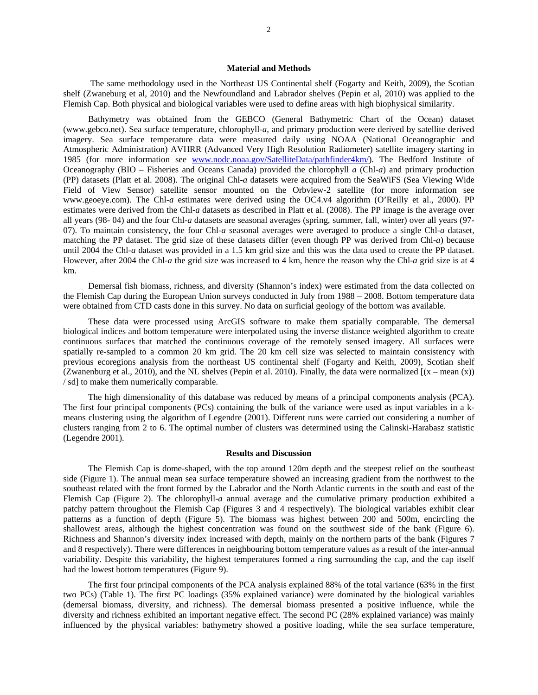#### **Material and Methods**

 The same methodology used in the Northeast US Continental shelf (Fogarty and Keith, 2009), the Scotian shelf (Zwaneburg et al, 2010) and the Newfoundland and Labrador shelves (Pepin et al, 2010) was applied to the Flemish Cap. Both physical and biological variables were used to define areas with high biophysical similarity.

Bathymetry was obtained from the GEBCO (General Bathymetric Chart of the Ocean) dataset (www.gebco.net). Sea surface temperature, chlorophyll-*a*, and primary production were derived by satellite derived imagery. Sea surface temperature data were measured daily using NOAA (National Oceanographic and Atmospheric Administration) AVHRR (Advanced Very High Resolution Radiometer) satellite imagery starting in 1985 (for more information see www.nodc.noaa.gov/SatelliteData/pathfinder4km/). The Bedford Institute of Oceanography (BIO – Fisheries and Oceans Canada) provided the chlorophyll *a* (Chl-*a*) and primary production (PP) datasets (Platt et al. 2008). The original Chl-*a* datasets were acquired from the SeaWiFS (Sea Viewing Wide Field of View Sensor) satellite sensor mounted on the Orbview-2 satellite (for more information see www.geoeye.com). The Chl-*a* estimates were derived using the OC4.v4 algorithm (O'Reilly et al., 2000). PP estimates were derived from the Chl-*a* datasets as described in Platt et al. (2008). The PP image is the average over all years (98- 04) and the four Chl-*a* datasets are seasonal averages (spring, summer, fall, winter) over all years (97- 07). To maintain consistency, the four Chl-*a* seasonal averages were averaged to produce a single Chl-*a* dataset, matching the PP dataset. The grid size of these datasets differ (even though PP was derived from Chl-*a*) because until 2004 the Chl-*a* dataset was provided in a 1.5 km grid size and this was the data used to create the PP dataset. However, after 2004 the Chl-*a* the grid size was increased to 4 km, hence the reason why the Chl-*a* grid size is at 4 km.

Demersal fish biomass, richness, and diversity (Shannon's index) were estimated from the data collected on the Flemish Cap during the European Union surveys conducted in July from 1988 – 2008. Bottom temperature data were obtained from CTD casts done in this survey. No data on surficial geology of the bottom was available.

These data were processed using ArcGIS software to make them spatially comparable. The demersal biological indices and bottom temperature were interpolated using the inverse distance weighted algorithm to create continuous surfaces that matched the continuous coverage of the remotely sensed imagery. All surfaces were spatially re-sampled to a common 20 km grid. The 20 km cell size was selected to maintain consistency with previous ecoregions analysis from the northeast US continental shelf (Fogarty and Keith, 2009), Scotian shelf (Zwanenburg et al., 2010), and the NL shelves (Pepin et al. 2010). Finally, the data were normalized  $[(x - mean(x))]$ / sd] to make them numerically comparable.

The high dimensionality of this database was reduced by means of a principal components analysis (PCA). The first four principal components (PCs) containing the bulk of the variance were used as input variables in a kmeans clustering using the algorithm of Legendre (2001). Different runs were carried out considering a number of clusters ranging from 2 to 6. The optimal number of clusters was determined using the Calinski-Harabasz statistic (Legendre 2001).

#### **Results and Discussion**

The Flemish Cap is dome-shaped, with the top around 120m depth and the steepest relief on the southeast side (Figure 1). The annual mean sea surface temperature showed an increasing gradient from the northwest to the southeast related with the front formed by the Labrador and the North Atlantic currents in the south and east of the Flemish Cap (Figure 2). The chlorophyll-*a* annual average and the cumulative primary production exhibited a patchy pattern throughout the Flemish Cap (Figures 3 and 4 respectively). The biological variables exhibit clear patterns as a function of depth (Figure 5). The biomass was highest between 200 and 500m, encircling the shallowest areas, although the highest concentration was found on the southwest side of the bank (Figure 6). Richness and Shannon's diversity index increased with depth, mainly on the northern parts of the bank (Figures 7 and 8 respectively). There were differences in neighbouring bottom temperature values as a result of the inter-annual variability. Despite this variability, the highest temperatures formed a ring surrounding the cap, and the cap itself had the lowest bottom temperatures (Figure 9).

The first four principal components of the PCA analysis explained 88% of the total variance (63% in the first two PCs) (Table 1). The first PC loadings (35% explained variance) were dominated by the biological variables (demersal biomass, diversity, and richness). The demersal biomass presented a positive influence, while the diversity and richness exhibited an important negative effect. The second PC (28% explained variance) was mainly influenced by the physical variables: bathymetry showed a positive loading, while the sea surface temperature,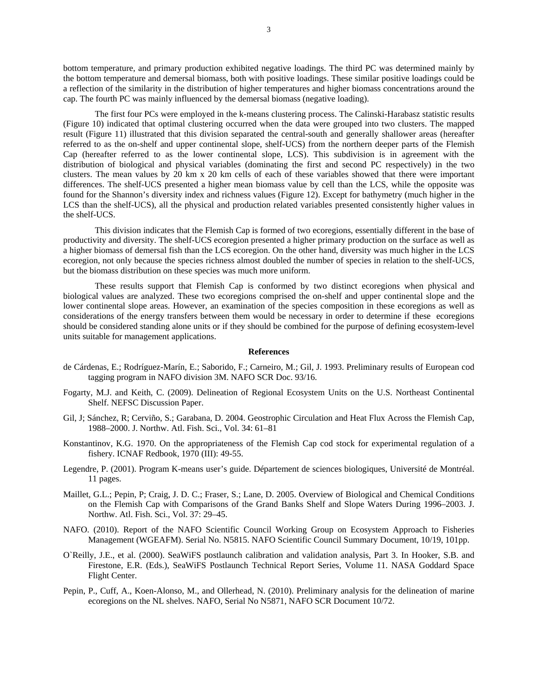bottom temperature, and primary production exhibited negative loadings. The third PC was determined mainly by the bottom temperature and demersal biomass, both with positive loadings. These similar positive loadings could be a reflection of the similarity in the distribution of higher temperatures and higher biomass concentrations around the cap. The fourth PC was mainly influenced by the demersal biomass (negative loading).

 The first four PCs were employed in the k-means clustering process. The Calinski-Harabasz statistic results (Figure 10) indicated that optimal clustering occurred when the data were grouped into two clusters. The mapped result (Figure 11) illustrated that this division separated the central-south and generally shallower areas (hereafter referred to as the on-shelf and upper continental slope, shelf-UCS) from the northern deeper parts of the Flemish Cap (hereafter referred to as the lower continental slope, LCS). This subdivision is in agreement with the distribution of biological and physical variables (dominating the first and second PC respectively) in the two clusters. The mean values by 20 km x 20 km cells of each of these variables showed that there were important differences. The shelf-UCS presented a higher mean biomass value by cell than the LCS, while the opposite was found for the Shannon's diversity index and richness values (Figure 12). Except for bathymetry (much higher in the LCS than the shelf-UCS), all the physical and production related variables presented consistently higher values in the shelf-UCS.

 This division indicates that the Flemish Cap is formed of two ecoregions, essentially different in the base of productivity and diversity. The shelf-UCS ecoregion presented a higher primary production on the surface as well as a higher biomass of demersal fish than the LCS ecoregion. On the other hand, diversity was much higher in the LCS ecoregion, not only because the species richness almost doubled the number of species in relation to the shelf-UCS, but the biomass distribution on these species was much more uniform.

 These results support that Flemish Cap is conformed by two distinct ecoregions when physical and biological values are analyzed. These two ecoregions comprised the on-shelf and upper continental slope and the lower continental slope areas. However, an examination of the species composition in these ecoregions as well as considerations of the energy transfers between them would be necessary in order to determine if these ecoregions should be considered standing alone units or if they should be combined for the purpose of defining ecosystem-level units suitable for management applications.

#### **References**

- de Cárdenas, E.; Rodríguez-Marín, E.; Saborido, F.; Carneiro, M.; Gil, J. 1993. Preliminary results of European cod tagging program in NAFO division 3M. NAFO SCR Doc. 93/16.
- Fogarty, M.J. and Keith, C. (2009). Delineation of Regional Ecosystem Units on the U.S. Northeast Continental Shelf. NEFSC Discussion Paper.
- Gil, J; Sánchez, R; Cerviño, S.; Garabana, D. 2004. Geostrophic Circulation and Heat Flux Across the Flemish Cap, 1988–2000. J. Northw. Atl. Fish. Sci., Vol. 34: 61–81
- Konstantinov, K.G. 1970. On the appropriateness of the Flemish Cap cod stock for experimental regulation of a fishery. ICNAF Redbook, 1970 (III): 49-55.
- Legendre, P. (2001). Program K-means user's guide. Département de sciences biologiques, Université de Montréal. 11 pages.
- Maillet, G.L.; Pepin, P; Craig, J. D. C.; Fraser, S.; Lane, D. 2005. Overview of Biological and Chemical Conditions on the Flemish Cap with Comparisons of the Grand Banks Shelf and Slope Waters During 1996–2003. J. Northw. Atl. Fish. Sci., Vol. 37: 29–45.
- NAFO. (2010). Report of the NAFO Scientific Council Working Group on Ecosystem Approach to Fisheries Management (WGEAFM). Serial No. N5815. NAFO Scientific Council Summary Document, 10/19, 101pp.
- O`Reilly, J.E., et al. (2000). SeaWiFS postlaunch calibration and validation analysis, Part 3. In Hooker, S.B. and Firestone, E.R. (Eds.), SeaWiFS Postlaunch Technical Report Series, Volume 11. NASA Goddard Space Flight Center.
- Pepin, P., Cuff, A., Koen-Alonso, M., and Ollerhead, N. (2010). Preliminary analysis for the delineation of marine ecoregions on the NL shelves. NAFO, Serial No N5871, NAFO SCR Document 10/72.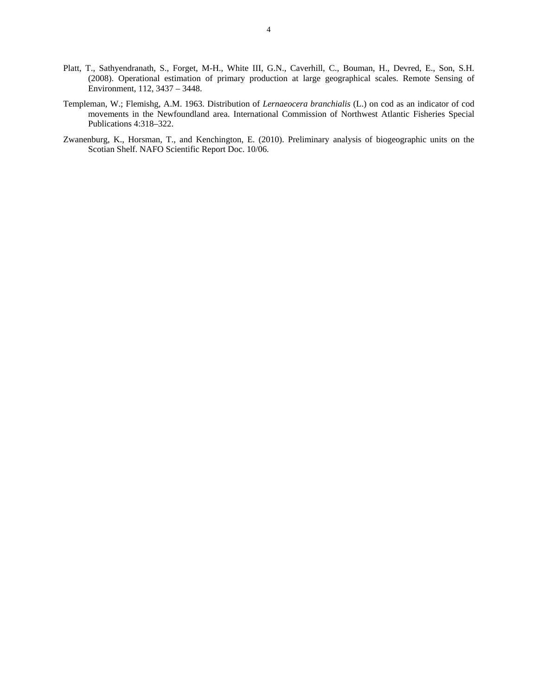- Platt, T., Sathyendranath, S., Forget, M-H., White III, G.N., Caverhill, C., Bouman, H., Devred, E., Son, S.H. (2008). Operational estimation of primary production at large geographical scales. Remote Sensing of Environment, 112, 3437 – 3448.
- Templeman, W.; Flemishg, A.M. 1963. Distribution of *Lernaeocera branchialis* (L.) on cod as an indicator of cod movements in the Newfoundland area. International Commission of Northwest Atlantic Fisheries Special Publications 4:318–322.
- Zwanenburg, K., Horsman, T., and Kenchington, E. (2010). Preliminary analysis of biogeographic units on the Scotian Shelf. NAFO Scientific Report Doc. 10/06.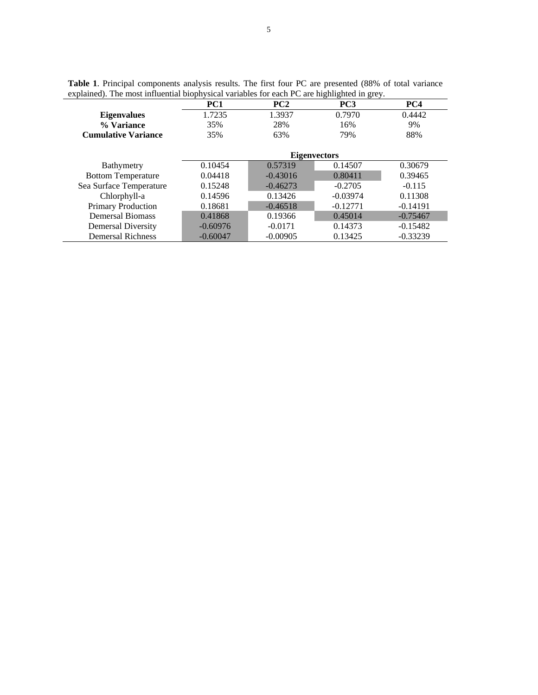| $\alpha$ and $\beta$ . The most immediate enophysical variables for each $\alpha$ are ingiligated in grey. |                     |                 |                 |            |
|------------------------------------------------------------------------------------------------------------|---------------------|-----------------|-----------------|------------|
|                                                                                                            | PC1                 | PC <sub>2</sub> | PC <sub>3</sub> | PC4        |
| <b>Eigenvalues</b>                                                                                         | 1.7235              | 1.3937          | 0.7970          | 0.4442     |
| % Variance                                                                                                 | 35%                 | 28%             | 16%             | 9%         |
| <b>Cumulative Variance</b>                                                                                 | 35%                 | 63%             | 79%             | 88%        |
|                                                                                                            |                     |                 |                 |            |
|                                                                                                            | <b>Eigenvectors</b> |                 |                 |            |
| Bathymetry                                                                                                 | 0.10454             | 0.57319         | 0.14507         | 0.30679    |
| <b>Bottom Temperature</b>                                                                                  | 0.04418             | $-0.43016$      | 0.80411         | 0.39465    |
| Sea Surface Temperature                                                                                    | 0.15248             | $-0.46273$      | $-0.2705$       | $-0.115$   |
| Chlorphyll-a                                                                                               | 0.14596             | 0.13426         | $-0.03974$      | 0.11308    |
| <b>Primary Production</b>                                                                                  | 0.18681             | $-0.46518$      | $-0.12771$      | $-0.14191$ |
| <b>Demersal Biomass</b>                                                                                    | 0.41868             | 0.19366         | 0.45014         | $-0.75467$ |
| Demersal Diversity                                                                                         | $-0.60976$          | $-0.0171$       | 0.14373         | $-0.15482$ |
| <b>Demersal Richness</b>                                                                                   | $-0.60047$          | $-0.00905$      | 0.13425         | $-0.33239$ |

**Table 1**. Principal components analysis results. The first four PC are presented (88% of total variance explained). The most influential biophysical variables for each PC are highlighted in grey.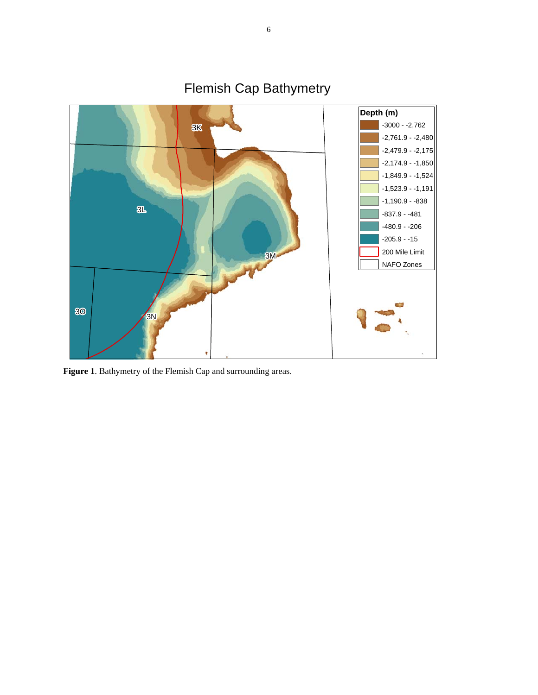

Flemish Cap Bathymetry

**Figure 1**. Bathymetry of the Flemish Cap and surrounding areas.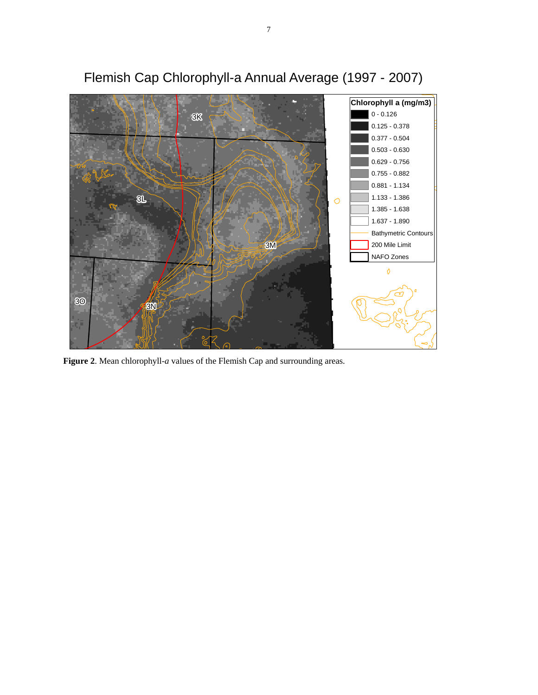

# Flemish Cap Chlorophyll-a Annual Average (1997 - 2007)

**Figure 2**. Mean chlorophyll-*a* values of the Flemish Cap and surrounding areas.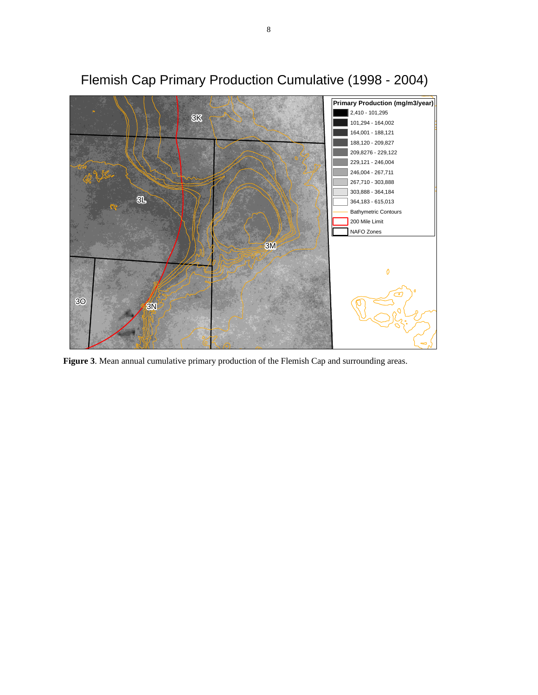

## Flemish Cap Primary Production Cumulative (1998 - 2004)

**Figure 3**. Mean annual cumulative primary production of the Flemish Cap and surrounding areas.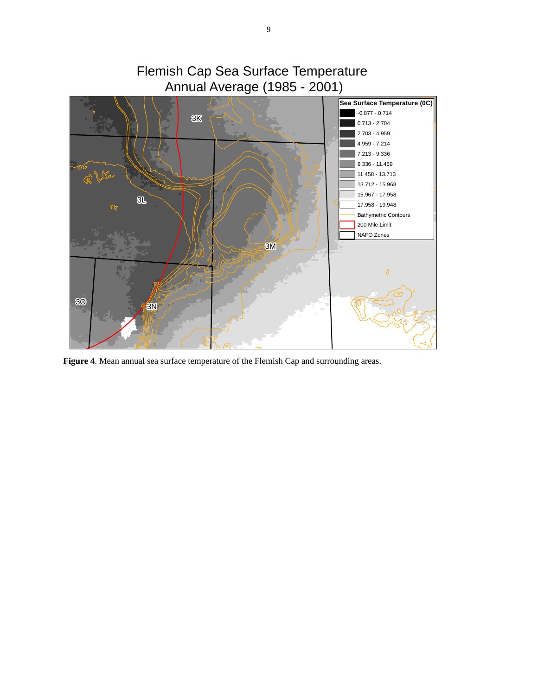

**Figure 4**. Mean annual sea surface temperature of the Flemish Cap and surrounding areas.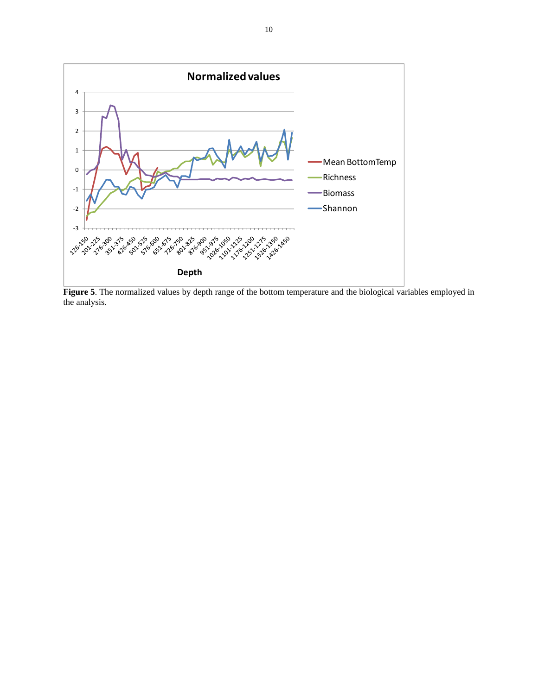

**Figure 5**. The normalized values by depth range of the bottom temperature and the biological variables employed in the analysis.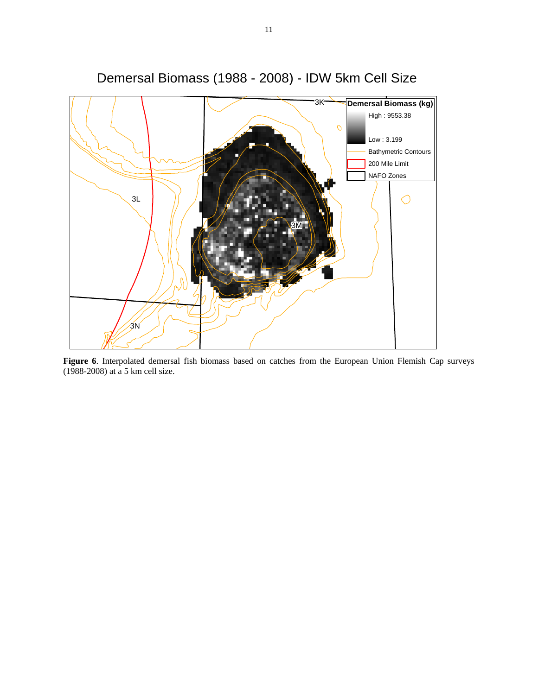

Demersal Biomass (1988 - 2008) - IDW 5km Cell Size

**Figure 6**. Interpolated demersal fish biomass based on catches from the European Union Flemish Cap surveys (1988-2008) at a 5 km cell size.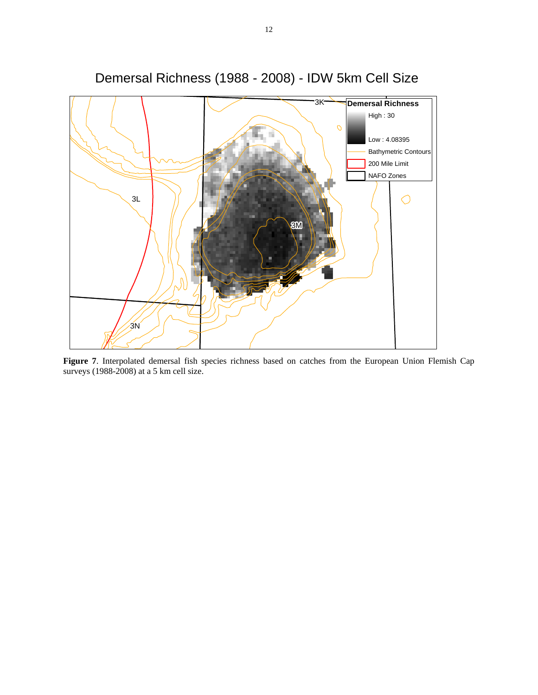

Demersal Richness (1988 - 2008) - IDW 5km Cell Size

**Figure 7**. Interpolated demersal fish species richness based on catches from the European Union Flemish Cap surveys (1988-2008) at a 5 km cell size.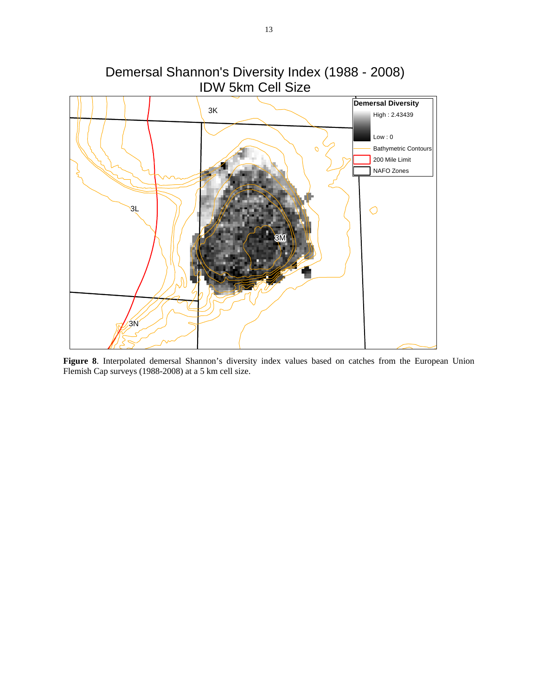

**Figure 8**. Interpolated demersal Shannon's diversity index values based on catches from the European Union Flemish Cap surveys (1988-2008) at a 5 km cell size.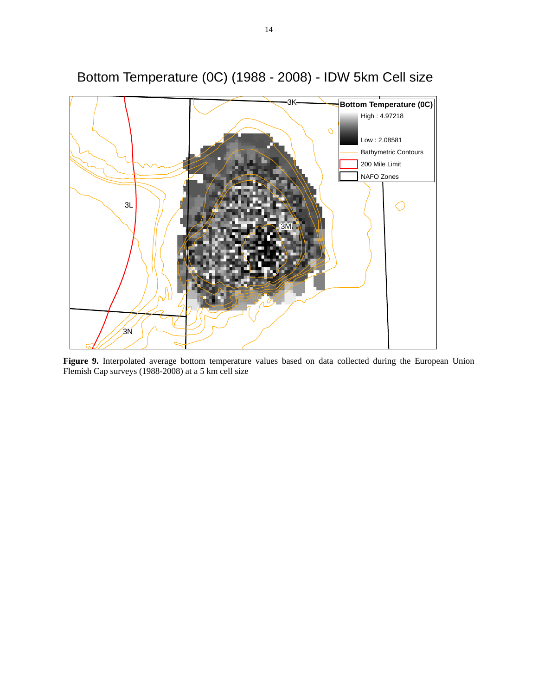

Bottom Temperature (0C) (1988 - 2008) - IDW 5km Cell size

**Figure 9.** Interpolated average bottom temperature values based on data collected during the European Union Flemish Cap surveys (1988-2008) at a 5 km cell size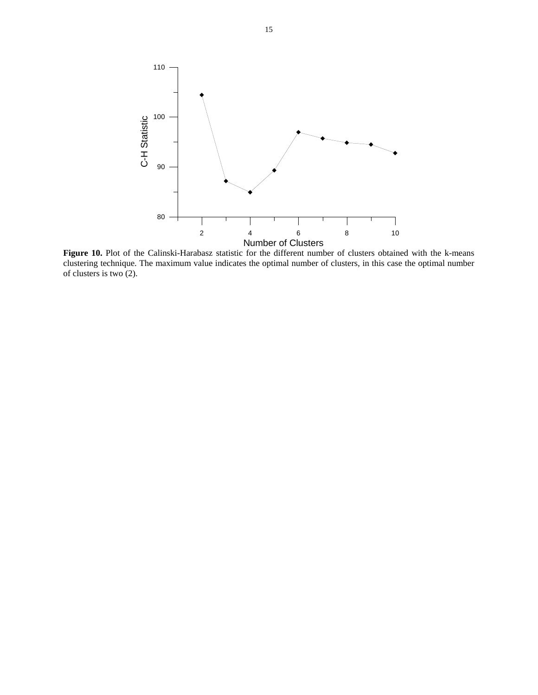

**Figure 10.** Plot of the Calinski-Harabasz statistic for the different number of clusters obtained with the k-means clustering technique. The maximum value indicates the optimal number of clusters, in this case the optimal number of clusters is two (2).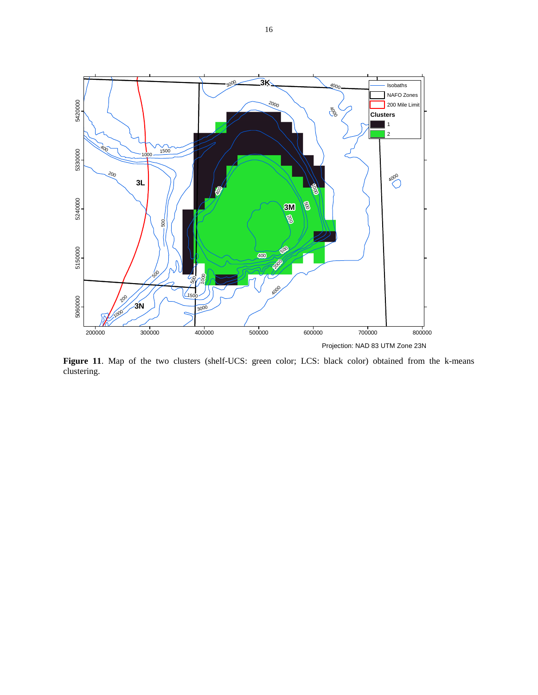

Figure 11. Map of the two clusters (shelf-UCS: green color; LCS: black color) obtained from the k-means clustering.